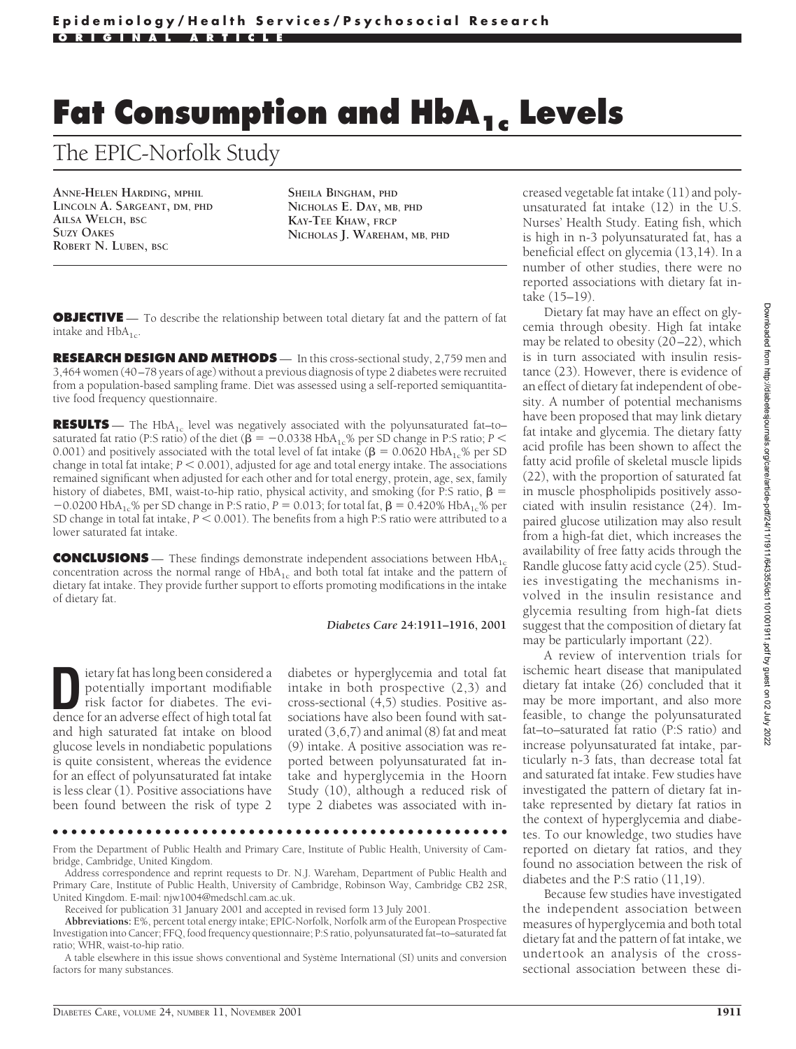# **Fat Consumption and HbA<sub>1c</sub> Levels**

The EPIC-Norfolk Study

**ANNE-HELEN HARDING, MPHIL LINCOLN A. SARGEANT, DM, PHD AILSA WELCH, BSC SUZY OAKES ROBERT N. LUBEN, BSC**

**SHEILA BINGHAM, PHD NICHOLAS E. DAY, MB, PHD KAY-TEE KHAW, FRCP NICHOLAS J. WAREHAM, MB, PHD**

**OBJECTIVE** — To describe the relationship between total dietary fat and the pattern of fat intake and  $HbA_{1c}$ .

**RESEARCH DESIGN AND METHODS** — In this cross-sectional study, 2,759 men and 3,464 women (40–78 years of age) without a previous diagnosis of type 2 diabetes were recruited from a population-based sampling frame. Diet was assessed using a self-reported semiquantitative food frequency questionnaire.

**RESULTS** — The HbA<sub>1c</sub> level was negatively associated with the polyunsaturated fat–to– saturated fat ratio (P:S ratio) of the diet ( $\beta = -0.0338$  HbA<sub>1c</sub>% per SD change in P:S ratio; *P* < 0.001) and positively associated with the total level of fat intake ( $\beta$  = 0.0620 HbA<sub>1c</sub>% per SD change in total fat intake;  $P < 0.001$ ), adjusted for age and total energy intake. The associations remained significant when adjusted for each other and for total energy, protein, age, sex, family history of diabetes, BMI, waist-to-hip ratio, physical activity, and smoking (for P:S ratio,  $\beta$  =  $-0.0200$  HbA<sub>1c</sub>% per SD change in P:S ratio, *P* = 0.013; for total fat,  $\beta$  = 0.420% HbA<sub>1c</sub>% per SD change in total fat intake,  $P < 0.001$ ). The benefits from a high P:S ratio were attributed to a lower saturated fat intake.

**CONCLUSIONS** — These findings demonstrate independent associations between HbA<sub>1c</sub> concentration across the normal range of  $HbA_{1c}$  and both total fat intake and the pattern of dietary fat intake. They provide further support to efforts promoting modifications in the intake of dietary fat.

#### *Diabetes Care* **24:1911–1916, 2001**

**D**ietary fat has long been considered a<br>potentially important modifiable<br>risk factor for diabetes. The evi-<br>dence for an adverse effect of high total fat potentially important modifiable dence for an adverse effect of high total fat and high saturated fat intake on blood glucose levels in nondiabetic populations is quite consistent, whereas the evidence for an effect of polyunsaturated fat intake is less clear (1). Positive associations have been found between the risk of type 2

diabetes or hyperglycemia and total fat intake in both prospective (2,3) and cross-sectional (4,5) studies. Positive associations have also been found with saturated (3,6,7) and animal (8) fat and meat (9) intake. A positive association was reported between polyunsaturated fat intake and hyperglycemia in the Hoorn Study (10), although a reduced risk of type 2 diabetes was associated with in-

●●●●●●●●●●●●●●●●●●●●●●●●●●●●●●●●●●●●●●●●●●●●●●●●●

From the Department of Public Health and Primary Care, Institute of Public Health, University of Cambridge, Cambridge, United Kingdom.

Address correspondence and reprint requests to Dr. N.J. Wareham, Department of Public Health and Primary Care, Institute of Public Health, University of Cambridge, Robinson Way, Cambridge CB2 2SR, United Kingdom. E-mail: njw1004@medschl.cam.ac.uk.

Received for publication 31 January 2001 and accepted in revised form 13 July 2001.

**Abbreviations:** E%, percent total energy intake; EPIC-Norfolk, Norfolk arm of the European Prospective Investigation into Cancer; FFQ, food frequency questionnaire; P:S ratio, polyunsaturated fat–to–saturated fat ratio; WHR, waist-to-hip ratio.

A table elsewhere in this issue shows conventional and Système International (SI) units and conversion factors for many substances

creased vegetable fat intake (11) and polyunsaturated fat intake (12) in the U.S. Nurses' Health Study. Eating fish, which is high in n-3 polyunsaturated fat, has a beneficial effect on glycemia (13,14). In a number of other studies, there were no reported associations with dietary fat intake (15–19).

Dietary fat may have an effect on glycemia through obesity. High fat intake may be related to obesity (20–22), which is in turn associated with insulin resistance (23). However, there is evidence of an effect of dietary fat independent of obesity. A number of potential mechanisms have been proposed that may link dietary fat intake and glycemia. The dietary fatty acid profile has been shown to affect the fatty acid profile of skeletal muscle lipids (22), with the proportion of saturated fat in muscle phospholipids positively associated with insulin resistance (24). Impaired glucose utilization may also result from a high-fat diet, which increases the availability of free fatty acids through the Randle glucose fatty acid cycle (25). Studies investigating the mechanisms involved in the insulin resistance and glycemia resulting from high-fat diets suggest that the composition of dietary fat may be particularly important (22).

A review of intervention trials for ischemic heart disease that manipulated dietary fat intake (26) concluded that it may be more important, and also more feasible, to change the polyunsaturated fat–to–saturated fat ratio (P:S ratio) and increase polyunsaturated fat intake, particularly n-3 fats, than decrease total fat and saturated fat intake. Few studies have investigated the pattern of dietary fat intake represented by dietary fat ratios in the context of hyperglycemia and diabetes. To our knowledge, two studies have reported on dietary fat ratios, and they found no association between the risk of diabetes and the P:S ratio (11,19).

Because few studies have investigated the independent association between measures of hyperglycemia and both total dietary fat and the pattern of fat intake, we undertook an analysis of the crosssectional association between these di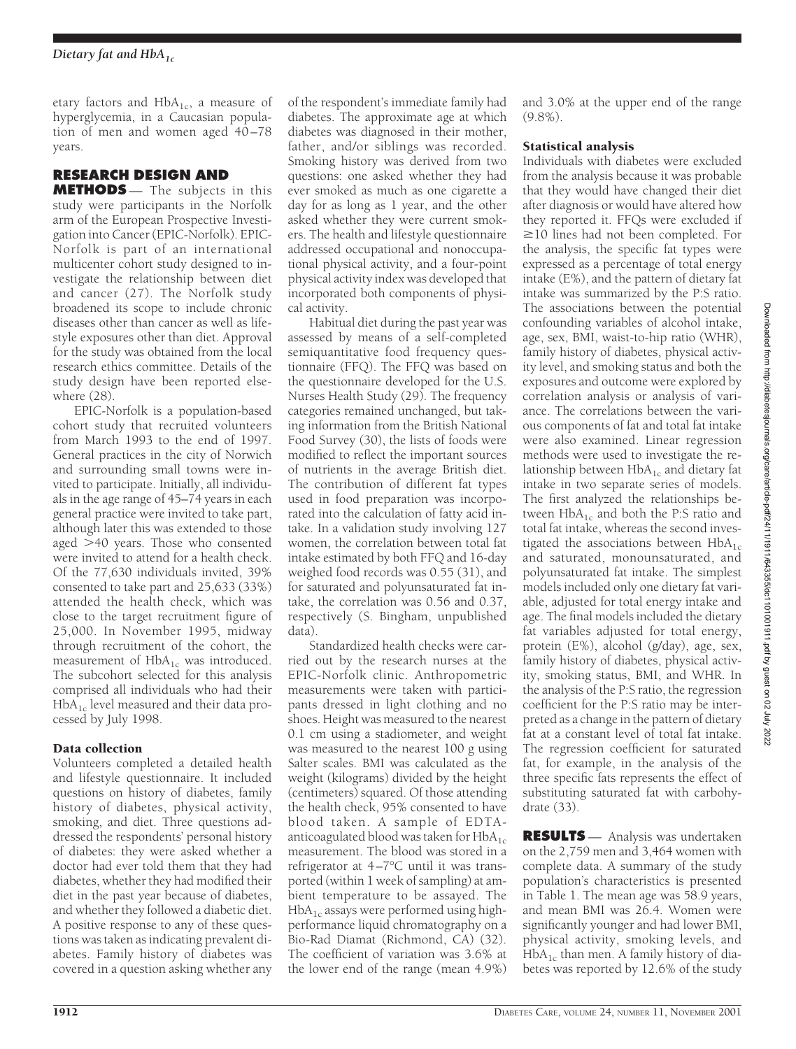etary factors and  $HbA_{1c}$ , a measure of hyperglycemia, in a Caucasian population of men and women aged 40-78 years.

# **RESEARCH DESIGN AND**

**METHODS** — The subjects in this study were participants in the Norfolk arm of the European Prospective Investigation into Cancer (EPIC-Norfolk). EPIC-Norfolk is part of an international multicenter cohort study designed to investigate the relationship between diet and cancer (27). The Norfolk study broadened its scope to include chronic diseases other than cancer as well as lifestyle exposures other than diet. Approval for the study was obtained from the local research ethics committee. Details of the study design have been reported elsewhere (28).

EPIC-Norfolk is a population-based cohort study that recruited volunteers from March 1993 to the end of 1997. General practices in the city of Norwich and surrounding small towns were invited to participate. Initially, all individuals in the age range of 45–74 years in each general practice were invited to take part, although later this was extended to those aged  $>40$  years. Those who consented were invited to attend for a health check. Of the 77,630 individuals invited, 39% consented to take part and 25,633 (33%) attended the health check, which was close to the target recruitment figure of 25,000. In November 1995, midway through recruitment of the cohort, the measurement of  $HbA_{1c}$  was introduced. The subcohort selected for this analysis comprised all individuals who had their  $HbA_{1c}$  level measured and their data processed by July 1998.

## Data collection

Volunteers completed a detailed health and lifestyle questionnaire. It included questions on history of diabetes, family history of diabetes, physical activity, smoking, and diet. Three questions addressed the respondents' personal history of diabetes: they were asked whether a doctor had ever told them that they had diabetes, whether they had modified their diet in the past year because of diabetes, and whether they followed a diabetic diet. A positive response to any of these questions was taken as indicating prevalent diabetes. Family history of diabetes was covered in a question asking whether any

of the respondent's immediate family had diabetes. The approximate age at which diabetes was diagnosed in their mother, father, and/or siblings was recorded. Smoking history was derived from two questions: one asked whether they had ever smoked as much as one cigarette a day for as long as 1 year, and the other asked whether they were current smokers. The health and lifestyle questionnaire addressed occupational and nonoccupational physical activity, and a four-point physical activity index was developed that incorporated both components of physical activity.

Habitual diet during the past year was assessed by means of a self-completed semiquantitative food frequency questionnaire (FFQ). The FFQ was based on the questionnaire developed for the U.S. Nurses Health Study (29). The frequency categories remained unchanged, but taking information from the British National Food Survey (30), the lists of foods were modified to reflect the important sources of nutrients in the average British diet. The contribution of different fat types used in food preparation was incorporated into the calculation of fatty acid intake. In a validation study involving 127 women, the correlation between total fat intake estimated by both FFQ and 16-day weighed food records was 0.55 (31), and for saturated and polyunsaturated fat intake, the correlation was 0.56 and 0.37, respectively (S. Bingham, unpublished data).

Standardized health checks were carried out by the research nurses at the EPIC-Norfolk clinic. Anthropometric measurements were taken with participants dressed in light clothing and no shoes. Height was measured to the nearest 0.1 cm using a stadiometer, and weight was measured to the nearest 100 g using Salter scales. BMI was calculated as the weight (kilograms) divided by the height (centimeters) squared. Of those attending the health check, 95% consented to have blood taken. A sample of EDTAanticoagulated blood was taken for  $HbA_{1c}$ measurement. The blood was stored in a refrigerator at 4–7°C until it was transported (within 1 week of sampling) at ambient temperature to be assayed. The  $HbA<sub>1c</sub>$  assays were performed using highperformance liquid chromatography on a Bio-Rad Diamat (Richmond, CA) (32). The coefficient of variation was 3.6% at the lower end of the range (mean 4.9%)

and 3.0% at the upper end of the range (9.8%).

### Statistical analysis

Individuals with diabetes were excluded from the analysis because it was probable that they would have changed their diet after diagnosis or would have altered how they reported it. FFQs were excluded if  $\geq$ 10 lines had not been completed. For the analysis, the specific fat types were expressed as a percentage of total energy intake (E%), and the pattern of dietary fat intake was summarized by the P:S ratio. The associations between the potential confounding variables of alcohol intake, age, sex, BMI, waist-to-hip ratio (WHR), family history of diabetes, physical activity level, and smoking status and both the exposures and outcome were explored by correlation analysis or analysis of variance. The correlations between the various components of fat and total fat intake were also examined. Linear regression methods were used to investigate the relationship between  $HbA_{1c}$  and dietary fat intake in two separate series of models. The first analyzed the relationships between  $HbA_{1c}$  and both the P:S ratio and total fat intake, whereas the second investigated the associations between  $HbA_{1c}$ and saturated, monounsaturated, and polyunsaturated fat intake. The simplest models included only one dietary fat variable, adjusted for total energy intake and age. The final models included the dietary fat variables adjusted for total energy, protein (E%), alcohol (g/day), age, sex, family history of diabetes, physical activity, smoking status, BMI, and WHR. In the analysis of the P:S ratio, the regression coefficient for the P:S ratio may be interpreted as a change in the pattern of dietary fat at a constant level of total fat intake. The regression coefficient for saturated fat, for example, in the analysis of the three specific fats represents the effect of substituting saturated fat with carbohydrate (33).

**RESULTS** — Analysis was undertaken on the 2,759 men and 3,464 women with complete data. A summary of the study population's characteristics is presented in Table 1. The mean age was 58.9 years, and mean BMI was 26.4. Women were significantly younger and had lower BMI, physical activity, smoking levels, and  $HbA_{1c}$  than men. A family history of diabetes was reported by 12.6% of the study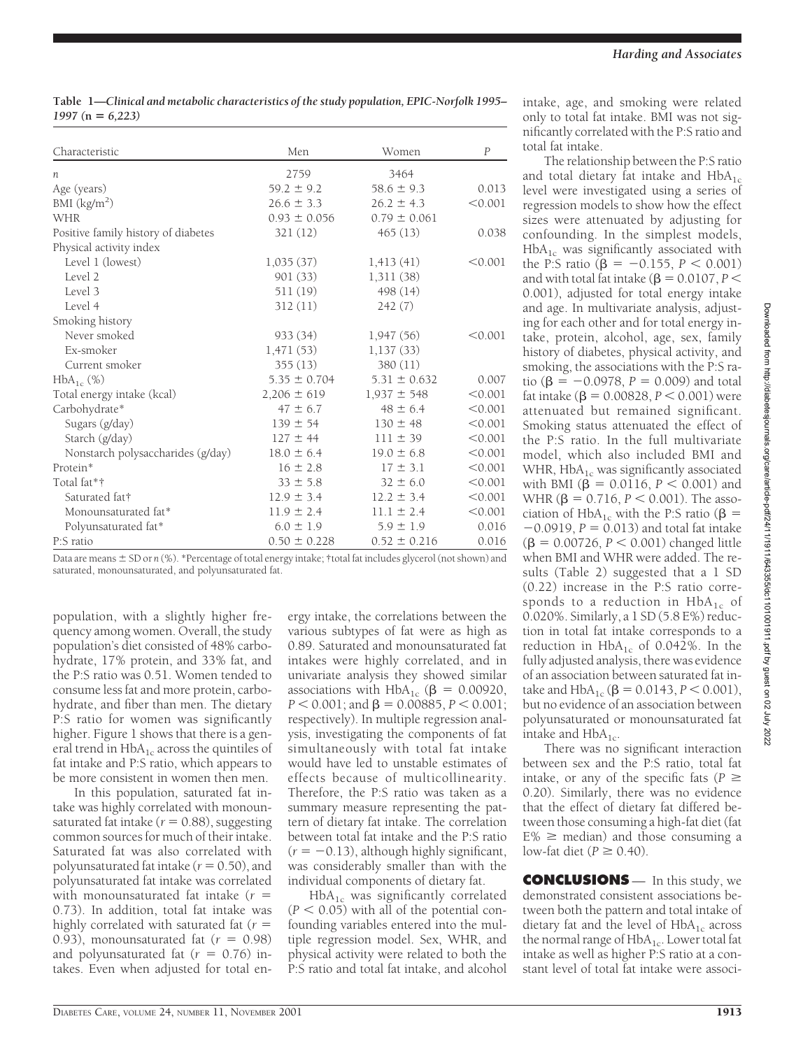**Table 1—***Clinical and metabolic characteristics of the study population, EPIC-Norfolk 1995– 1997 (***n** *6,223)*

| Characteristic                      | Men              | Women            | $\boldsymbol{P}$ |
|-------------------------------------|------------------|------------------|------------------|
| п                                   | 2759             | 3464             |                  |
| Age (years)                         | $59.2 \pm 9.2$   | $58.6 \pm 9.3$   | 0.013            |
| BMI $(kg/m2)$                       | $26.6 \pm 3.3$   | $26.2 \pm 4.3$   | < 0.001          |
| <b>WHR</b>                          | $0.93 \pm 0.056$ | $0.79 \pm 0.061$ |                  |
| Positive family history of diabetes | 321(12)          | 465(13)          | 0.038            |
| Physical activity index             |                  |                  |                  |
| Level 1 (lowest)                    | 1,035(37)        | 1,413(41)        | < 0.001          |
| Level 2                             | 901 (33)         | 1,311(38)        |                  |
| Level 3                             | 511 (19)         | 498 (14)         |                  |
| Level 4                             | 312(11)          | 242(7)           |                  |
| Smoking history                     |                  |                  |                  |
| Never smoked                        | 933(34)          | 1,947(56)        | < 0.001          |
| Ex-smoker                           | 1,471(53)        | 1,137(33)        |                  |
| Current smoker                      | 355(13)          | 380 (11)         |                  |
| $HbA_{1c}$ (%)                      | $5.35 \pm 0.704$ | $5.31 \pm 0.632$ | 0.007            |
| Total energy intake (kcal)          | $2,206 \pm 619$  | $1,937 \pm 548$  | < 0.001          |
| Carbohydrate*                       | $47 \pm 6.7$     | $48 \pm 6.4$     | < 0.001          |
| Sugars (g/day)                      | $139 \pm 54$     | $130 \pm 48$     | < 0.001          |
| Starch (g/day)                      | $127 \pm 44$     | $111 \pm 39$     | < 0.001          |
| Nonstarch polysaccharides (g/day)   | $18.0 \pm 6.4$   | $19.0 \pm 6.8$   | < 0.001          |
| Protein*                            | $16 \pm 2.8$     | $17 \pm 3.1$     | < 0.001          |
| Total fat*†                         | $33 \pm 5.8$     | $32 \pm 6.0$     | < 0.001          |
| Saturated fat†                      | $12.9 \pm 3.4$   | $12.2 \pm 3.4$   | < 0.001          |
| Monounsaturated fat*                | $11.9 \pm 2.4$   | $11.1 \pm 2.4$   | < 0.001          |
| Polyunsaturated fat*                | $6.0 \pm 1.9$    | $5.9 \pm 1.9$    | 0.016            |
| P:S ratio                           | $0.50 \pm 0.228$ | $0.52 \pm 0.216$ | 0.016            |

Data are means  $\pm$  SD or *n* (%). \*Percentage of total energy intake; †total fat includes glycerol (not shown) and saturated, monounsaturated, and polyunsaturated fat.

population, with a slightly higher frequency among women. Overall, the study population's diet consisted of 48% carbohydrate, 17% protein, and 33% fat, and the P:S ratio was 0.51. Women tended to consume less fat and more protein, carbohydrate, and fiber than men. The dietary P:S ratio for women was significantly higher. Figure 1 shows that there is a general trend in  $HbA_{1c}$  across the quintiles of fat intake and P:S ratio, which appears to be more consistent in women then men.

In this population, saturated fat intake was highly correlated with monounsaturated fat intake ( $r = 0.88$ ), suggesting common sources for much of their intake. Saturated fat was also correlated with polyunsaturated fat intake ( $r = 0.50$ ), and polyunsaturated fat intake was correlated with monounsaturated fat intake  $(r =$ 0.73). In addition, total fat intake was highly correlated with saturated fat  $(r =$ 0.93), monounsaturated fat  $(r = 0.98)$ and polyunsaturated fat  $(r = 0.76)$  intakes. Even when adjusted for total energy intake, the correlations between the various subtypes of fat were as high as 0.89. Saturated and monounsaturated fat intakes were highly correlated, and in univariate analysis they showed similar associations with  $HbA_{1c}$  ( $\beta = 0.00920$ ,  $P < 0.001$ ; and  $\beta = 0.00885$ ,  $P < 0.001$ ; respectively). In multiple regression analysis, investigating the components of fat simultaneously with total fat intake would have led to unstable estimates of effects because of multicollinearity. Therefore, the P:S ratio was taken as a summary measure representing the pattern of dietary fat intake. The correlation between total fat intake and the P:S ratio  $(r = -0.13)$ , although highly significant, was considerably smaller than with the individual components of dietary fat.

 $HbA_{1c}$  was significantly correlated  $(P < 0.05)$  with all of the potential confounding variables entered into the multiple regression model. Sex, WHR, and physical activity were related to both the P:S ratio and total fat intake, and alcohol intake, age, and smoking were related only to total fat intake. BMI was not significantly correlated with the P:S ratio and total fat intake.

The relationship between the P:S ratio and total dietary fat intake and  $HbA_{1c}$ level were investigated using a series of regression models to show how the effect sizes were attenuated by adjusting for confounding. In the simplest models,  $HbA_{1c}$  was significantly associated with the P:S ratio ( $\beta = -0.155$ ,  $P < 0.001$ ) and with total fat intake ( $\beta$  = 0.0107, *P* < 0.001), adjusted for total energy intake and age. In multivariate analysis, adjusting for each other and for total energy intake, protein, alcohol, age, sex, family history of diabetes, physical activity, and smoking, the associations with the P:S ratio ( $\beta = -0.0978$ ,  $P = 0.009$ ) and total fat intake ( $\beta = 0.00828, P < 0.001$ ) were attenuated but remained significant. Smoking status attenuated the effect of the P:S ratio. In the full multivariate model, which also included BMI and WHR,  $HbA_{1c}$  was significantly associated with BMI ( $\beta = 0.0116, P < 0.001$ ) and WHR ( $\beta = 0.716, P < 0.001$ ). The association of HbA<sub>1c</sub> with the P:S ratio ( $\beta$  =  $-0.0919$ ,  $P = 0.013$ ) and total fat intake  $(\beta = 0.00726, P < 0.001)$  changed little when BMI and WHR were added. The results (Table 2) suggested that a 1 SD (0.22) increase in the P:S ratio corresponds to a reduction in  $HbA_{1c}$  of 0.020%. Similarly, a 1 SD(5.8 E%) reduction in total fat intake corresponds to a reduction in  $HbA_{1c}$  of 0.042%. In the fully adjusted analysis, there was evidence of an association between saturated fat intake and  $HbA_{1c}$  ( $\beta = 0.0143, P < 0.001$ ), but no evidence of an association between polyunsaturated or monounsaturated fat intake and  $HbA_{1c}$ .

There was no significant interaction between sex and the P:S ratio, total fat intake, or any of the specific fats ( $P \geq$ 0.20). Similarly, there was no evidence that the effect of dietary fat differed between those consuming a high-fat diet (fat  $E\%$   $\geq$  median) and those consuming a low-fat diet ( $P \geq 0.40$ ).

**CONCLUSIONS** — In this study, we demonstrated consistent associations between both the pattern and total intake of dietary fat and the level of  $HbA_{1c}$  across the normal range of  $HbA_{1c}$ . Lower total fat intake as well as higher P:S ratio at a constant level of total fat intake were associ-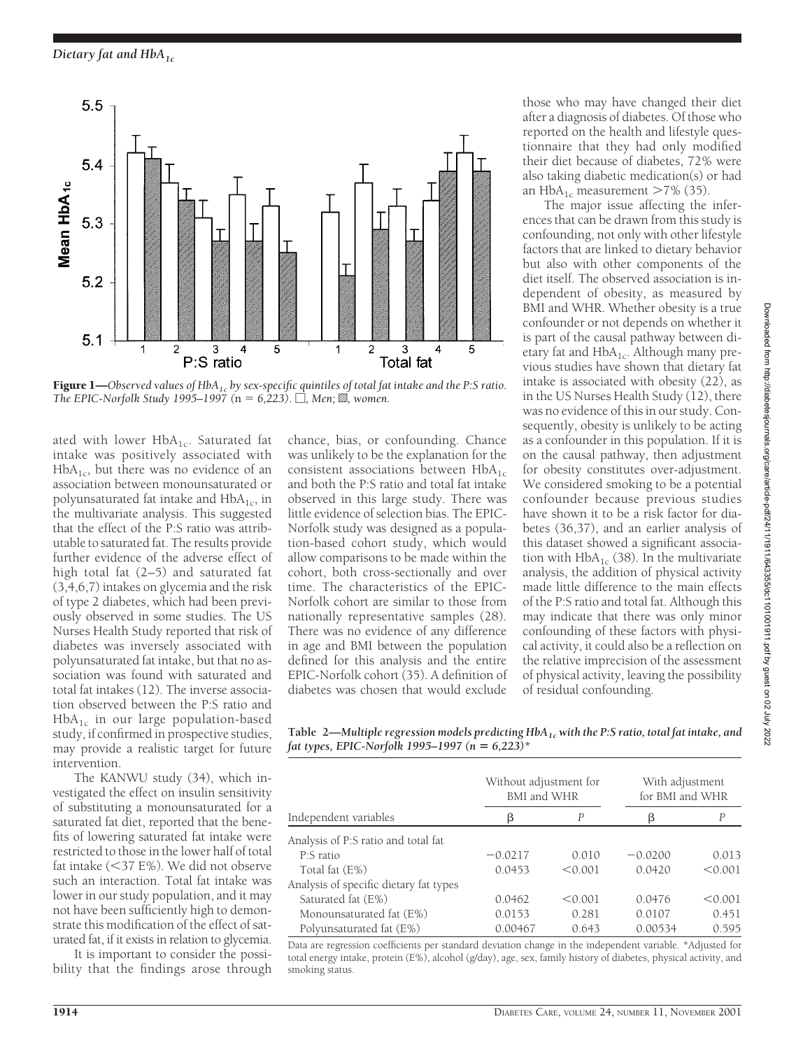

Figure 1—Observed values of HbA<sub>1c</sub> by sex-specific quintiles of total fat intake and the P:S ratio. *The EPIC-Norfolk Study 1995–1997* ( $n = 6,223$ ).  $\Box$ *, Men; 22*, women.

ated with lower  $HbA_{1c}$ . Saturated fat intake was positively associated with  $HbA<sub>1c</sub>$ , but there was no evidence of an association between monounsaturated or polyunsaturated fat intake and  $HbA_{1c}$ , in the multivariate analysis. This suggested that the effect of the P:S ratio was attributable to saturated fat. The results provide further evidence of the adverse effect of high total fat (2–5) and saturated fat (3,4,6,7) intakes on glycemia and the risk of type 2 diabetes, which had been previously observed in some studies. The US Nurses Health Study reported that risk of diabetes was inversely associated with polyunsaturated fat intake, but that no association was found with saturated and total fat intakes (12). The inverse association observed between the P:S ratio and  $HbA_{1c}$  in our large population-based study, if confirmed in prospective studies, may provide a realistic target for future intervention.

The KANWU study (34), which investigated the effect on insulin sensitivity of substituting a monounsaturated for a saturated fat diet, reported that the benefits of lowering saturated fat intake were restricted to those in the lower half of total fat intake  $(<$ 37 E%). We did not observe such an interaction. Total fat intake was lower in our study population, and it may not have been sufficiently high to demonstrate this modification of the effect of saturated fat, if it exists in relation to glycemia.

It is important to consider the possibility that the findings arose through chance, bias, or confounding. Chance was unlikely to be the explanation for the consistent associations between  $HbA_{1c}$ and both the P:S ratio and total fat intake observed in this large study. There was little evidence of selection bias. The EPIC-Norfolk study was designed as a population-based cohort study, which would allow comparisons to be made within the cohort, both cross-sectionally and over time. The characteristics of the EPIC-Norfolk cohort are similar to those from nationally representative samples (28). There was no evidence of any difference in age and BMI between the population defined for this analysis and the entire EPIC-Norfolk cohort (35). A definition of diabetes was chosen that would exclude those who may have changed their diet after a diagnosis of diabetes. Of those who reported on the health and lifestyle questionnaire that they had only modified their diet because of diabetes, 72% were also taking diabetic medication(s) or had an HbA<sub>1c</sub> measurement  $>7\%$  (35).

The major issue affecting the inferences that can be drawn from this study is confounding, not only with other lifestyle factors that are linked to dietary behavior but also with other components of the diet itself. The observed association is independent of obesity, as measured by BMI and WHR. Whether obesity is a true confounder or not depends on whether it is part of the causal pathway between dietary fat and  $HbA_{1c}$ . Although many previous studies have shown that dietary fat intake is associated with obesity (22), as in the US Nurses Health Study (12), there was no evidence of this in our study. Consequently, obesity is unlikely to be acting as a confounder in this population. If it is on the causal pathway, then adjustment for obesity constitutes over-adjustment. We considered smoking to be a potential confounder because previous studies have shown it to be a risk factor for diabetes (36,37), and an earlier analysis of this dataset showed a significant association with  $HbA_{1c}$  (38). In the multivariate analysis, the addition of physical activity made little difference to the main effects of the P:S ratio and total fat. Although this may indicate that there was only minor confounding of these factors with physical activity, it could also be a reflection on the relative imprecision of the assessment of physical activity, leaving the possibility of residual confounding.

**Table 2—***Multiple regression models predicting HbA1cwith the P:S ratio, total fat intake, and fat types, EPIC-Norfolk 1995–1997 (n 6,223)\**

| Independent variables                  | Without adjustment for<br>BMI and WHR |         | With adjustment<br>for BMI and WHR |         |
|----------------------------------------|---------------------------------------|---------|------------------------------------|---------|
|                                        | β                                     | P       | ß                                  | P       |
| Analysis of P:S ratio and total fat    |                                       |         |                                    |         |
| P:S ratio                              | $-0.0217$                             | 0.010   | $-0.0200$                          | 0.013   |
| Total fat (E%)                         | 0.0453                                | < 0.001 | 0.0420                             | < 0.001 |
| Analysis of specific dietary fat types |                                       |         |                                    |         |
| Saturated fat (E%)                     | 0.0462                                | < 0.001 | 0.0476                             | < 0.001 |
| Monounsaturated fat (E%)               | 0.0153                                | 0.281   | 0.0107                             | 0.451   |
| Polyunsaturated fat (E%)               | 0.00467                               | 0.643   | 0.00534                            | 0.595   |

Data are regression coefficients per standard deviation change in the independent variable. \*Adjusted for total energy intake, protein (E%), alcohol (g/day), age, sex, family history of diabetes, physical activity, and smoking status.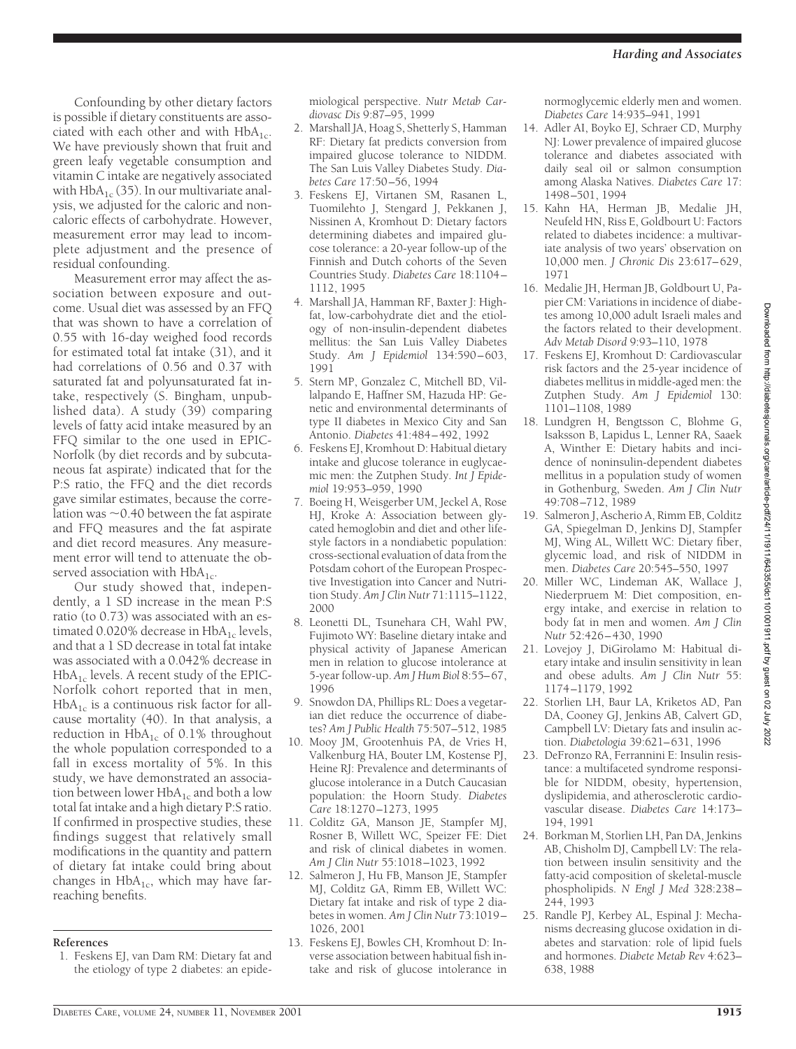Confounding by other dietary factors is possible if dietary constituents are associated with each other and with  $HbA_{1c}$ . We have previously shown that fruit and green leafy vegetable consumption and vitamin C intake are negatively associated with  $HbA_{1c}$  (35). In our multivariate analysis, we adjusted for the caloric and noncaloric effects of carbohydrate. However, measurement error may lead to incomplete adjustment and the presence of residual confounding.

Measurement error may affect the association between exposure and outcome. Usual diet was assessed by an FFQ that was shown to have a correlation of 0.55 with 16-day weighed food records for estimated total fat intake (31), and it had correlations of 0.56 and 0.37 with saturated fat and polyunsaturated fat intake, respectively (S. Bingham, unpublished data). A study (39) comparing levels of fatty acid intake measured by an FFQ similar to the one used in EPIC-Norfolk (by diet records and by subcutaneous fat aspirate) indicated that for the P:S ratio, the FFQ and the diet records gave similar estimates, because the correlation was  $\sim$  0.40 between the fat aspirate and FFQ measures and the fat aspirate and diet record measures. Any measurement error will tend to attenuate the observed association with  $HbA_{1c}$ .

Our study showed that, independently, a 1 SD increase in the mean P:S ratio (to 0.73) was associated with an estimated 0.020% decrease in  $HbA_{1c}$  levels, and that a 1 SD decrease in total fat intake was associated with a 0.042% decrease in  $HbA_{1c}$  levels. A recent study of the EPIC-Norfolk cohort reported that in men,  $HbA_{1c}$  is a continuous risk factor for allcause mortality (40). In that analysis, a reduction in  $HbA_{1c}$  of 0.1% throughout the whole population corresponded to a fall in excess mortality of 5%. In this study, we have demonstrated an association between lower  $HbA_{1c}$  and both a low total fat intake and a high dietary P:S ratio. If confirmed in prospective studies, these findings suggest that relatively small modifications in the quantity and pattern of dietary fat intake could bring about changes in  $HbA_{1c}$ , which may have farreaching benefits.

#### **References**

1. Feskens EJ, van Dam RM: Dietary fat and the etiology of type 2 diabetes: an epidemiological perspective. *Nutr Metab Cardiovasc Dis* 9:87–95, 1999

- 2. Marshall JA, Hoag S, Shetterly S, Hamman RF: Dietary fat predicts conversion from impaired glucose tolerance to NIDDM. The San Luis Valley Diabetes Study. *Diabetes Care* 17:50–56, 1994
- 3. Feskens EJ, Virtanen SM, Rasanen L, Tuomilehto J, Stengard J, Pekkanen J, Nissinen A, Kromhout D: Dietary factors determining diabetes and impaired glucose tolerance: a 20-year follow-up of the Finnish and Dutch cohorts of the Seven Countries Study. *Diabetes Care* 18:1104– 1112, 1995
- 4. Marshall JA, Hamman RF, Baxter J: Highfat, low-carbohydrate diet and the etiology of non-insulin-dependent diabetes mellitus: the San Luis Valley Diabetes Study. *Am J Epidemiol* 134:590–603, 1991
- 5. Stern MP, Gonzalez C, Mitchell BD, Villalpando E, Haffner SM, Hazuda HP: Genetic and environmental determinants of type II diabetes in Mexico City and San Antonio. *Diabetes* 41:484–492, 1992
- 6. Feskens EJ, Kromhout D: Habitual dietary intake and glucose tolerance in euglycaemic men: the Zutphen Study. *Int J Epidemiol* 19:953–959, 1990
- 7. Boeing H, Weisgerber UM, Jeckel A, Rose HJ, Kroke A: Association between glycated hemoglobin and diet and other lifestyle factors in a nondiabetic population: cross-sectional evaluation of data from the Potsdam cohort of the European Prospective Investigation into Cancer and Nutrition Study. *Am J Clin Nutr* 71:1115–1122, 2000
- 8. Leonetti DL, Tsunehara CH, Wahl PW, Fujimoto WY: Baseline dietary intake and physical activity of Japanese American men in relation to glucose intolerance at 5-year follow-up. *Am J Hum Biol* 8:55–67, 1996
- 9. Snowdon DA, Phillips RL: Does a vegetarian diet reduce the occurrence of diabetes? *Am J Public Health* 75:507–512, 1985
- 10. Mooy JM, Grootenhuis PA, de Vries H, Valkenburg HA, Bouter LM, Kostense PJ, Heine RJ: Prevalence and determinants of glucose intolerance in a Dutch Caucasian population: the Hoorn Study. *Diabetes Care* 18:1270–1273, 1995
- 11. Colditz GA, Manson JE, Stampfer MJ, Rosner B, Willett WC, Speizer FE: Diet and risk of clinical diabetes in women. *Am J Clin Nutr* 55:1018–1023, 1992
- 12. Salmeron J, Hu FB, Manson JE, Stampfer MJ, Colditz GA, Rimm EB, Willett WC: Dietary fat intake and risk of type 2 diabetes in women. *Am J Clin Nutr* 73:1019– 1026, 2001
- 13. Feskens EJ, Bowles CH, Kromhout D: Inverse association between habitual fish intake and risk of glucose intolerance in

normoglycemic elderly men and women. *Diabetes Care* 14:935–941, 1991

- 14. Adler AI, Boyko EJ, Schraer CD, Murphy NJ: Lower prevalence of impaired glucose tolerance and diabetes associated with daily seal oil or salmon consumption among Alaska Natives. *Diabetes Care* 17: 1498–501, 1994
- 15. Kahn HA, Herman JB, Medalie JH, Neufeld HN, Riss E, Goldbourt U: Factors related to diabetes incidence: a multivariate analysis of two years' observation on 10,000 men. *J Chronic Dis* 23:617–629, 1971
- 16. Medalie JH, Herman JB, Goldbourt U, Papier CM: Variations in incidence of diabetes among 10,000 adult Israeli males and the factors related to their development. *Adv Metab Disord* 9:93–110, 1978
- 17. Feskens EJ, Kromhout D: Cardiovascular risk factors and the 25-year incidence of diabetes mellitus in middle-aged men: the Zutphen Study. *Am J Epidemiol* 130: 1101–1108, 1989
- 18. Lundgren H, Bengtsson C, Blohme G, Isaksson B, Lapidus L, Lenner RA, Saaek A, Winther E: Dietary habits and incidence of noninsulin-dependent diabetes mellitus in a population study of women in Gothenburg, Sweden. *Am J Clin Nutr* 49:708–712, 1989
- 19. Salmeron J, Ascherio A, Rimm EB, Colditz GA, Spiegelman D, Jenkins DJ, Stampfer MJ, Wing AL, Willett WC: Dietary fiber, glycemic load, and risk of NIDDM in men. *Diabetes Care* 20:545–550, 1997
- 20. Miller WC, Lindeman AK, Wallace J, Niederpruem M: Diet composition, energy intake, and exercise in relation to body fat in men and women. *Am J Clin Nutr* 52:426–430, 1990
- 21. Lovejoy J, DiGirolamo M: Habitual dietary intake and insulin sensitivity in lean and obese adults. *Am J Clin Nutr* 55: 1174–1179, 1992
- 22. Storlien LH, Baur LA, Kriketos AD, Pan DA, Cooney GJ, Jenkins AB, Calvert GD, Campbell LV: Dietary fats and insulin action. *Diabetologia* 39:621–631, 1996
- 23. DeFronzo RA, Ferrannini E: Insulin resistance: a multifaceted syndrome responsible for NIDDM, obesity, hypertension, dyslipidemia, and atherosclerotic cardiovascular disease. *Diabetes Care* 14:173– 194, 1991
- 24. Borkman M, Storlien LH, Pan DA, Jenkins AB, Chisholm DJ, Campbell LV: The relation between insulin sensitivity and the fatty-acid composition of skeletal-muscle phospholipids. *N Engl J Med* 328:238– 244, 1993
- 25. Randle PJ, Kerbey AL, Espinal J: Mechanisms decreasing glucose oxidation in diabetes and starvation: role of lipid fuels and hormones. *Diabete Metab Rev* 4:623– 638, 1988